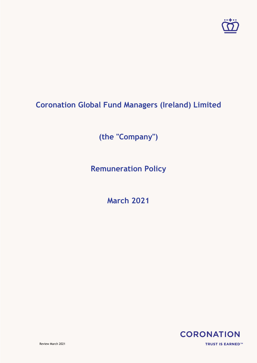

# **Coronation Global Fund Managers (Ireland) Limited**

**(the "Company")**

**Remuneration Policy**

**March 2021**

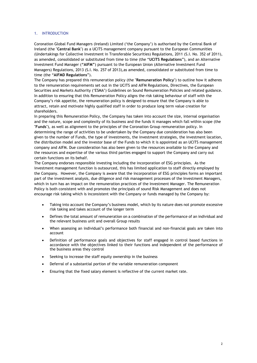## 1. INTRODUCTION

Coronation Global Fund Managers (Ireland) Limited ('the Company') is authorised by the Central Bank of Ireland (the "**Central Bank**") as a UCITS management company pursuant to the European Communities (Undertakings for Collective Investment in Transferable Securities) Regulations, 2011 (S.I. No. 352 of 2011), as amended, consolidated or substituted from time to time (the "**UCITS Regulations**"), and an Alternative Investment Fund Manager (**"AIFM"**) pursuant to the European Union (Alternative Investment Fund Managers) Regulations, 2013 (S.I. No. 257 of 2013),as amended, consolidated or substituted from time to time (the "**AIFMD Regulations**").

The Company has prepared this remuneration policy (the "**Remuneration Policy**") to outline how it adheres to the remuneration requirements set out in the UCITS and AIFM Regulations, Directives, the European Securities and Markets Authority ('ESMA') Guidelines on Sound Remuneration Policies and related guidance. In addition to ensuring that this Remuneration Policy aligns the risk taking behaviour of staff with the Company's risk appetite, the remuneration policy is designed to ensure that the Company is able to attract, retain and motivate highly qualified staff in order to produce long term value creation for shareholders.

In preparing this Remuneration Policy, the Company has taken into account the size, internal organisation and the nature, scope and complexity of its business and the funds it manages which fall within scope (the "**Funds**"), as well as alignment to the principles of the Coronation Group remuneration policy. In determining the range of activities to be undertaken by the Company due consideration has also been given to the number of Funds, the type of investments, the investment strategies, the investment location, the distribution model and the investor base of the Funds to which it is appointed as an UCITS management company and AIFM. Due consideration has also been given to the resources available to the Company and the resources and expertise of the various third parties engaged to support the Company and carry out certain functions on its behalf.

The Company endorses responsible investing including the incorporation of ESG principles. As the investment management function is outsourced, this has limited application to staff directly employed by the Company. However, the Company is aware that the incorporation of ESG principles forms an important part of the investment analysis, due diligence and risk management processes of the Investment Managers, which in turn has an impact on the remuneration practices of the Investment Manager. The Remuneration Policy is both consistent with and promotes the principals of sound Risk Management and does not encourage risk taking which is inconsistent with the Company or funds managed by the Company by:

- Taking into account the Company's business model, which by its nature does not promote excessive risk taking and takes account of the longer term
- Defines the total amount of remuneration on a combination of the performance of an individual and the relevant business unit and overall Group results
- When assessing an individual's performance both financial and non-financial goals are taken into account
- Definition of performance goals and objectives for staff engaged in control based functions in accordance with the objectives linked to their functions and independent of the performance of the business areas they control
- Seeking to increase the staff equity ownership in the business
- Deferral of a substantial portion of the variable remuneration component
- Ensuring that the fixed salary element is reflective of the current market rate.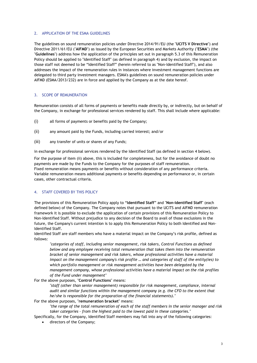### 2. APPLICATION OF THE ESMA GUIDELINES

The guidelines on sound remuneration policies under Directive 2014/91/EU (the "**UCITS V Directive**") and Directive 2011/61/EU ("**AIFMD**") as issued by the European Securities and Markets Authority ("**ESMA**") (the "**Guidelines**") address how the application of the principles set out in paragraph 5.3 of this Remuneration Policy should be applied to "Identified Staff" (as defined in paragraph 4) and by exclusion, the impact on those staff not deemed to be "Identified Staff" (herein referred to as "Non-Identified Staff"), and also addresses the impact of the remuneration rules in instances where investment management functions are delegated to third party investment managers. ESMA's guidelines on sound remuneration policies under AIFMD (ESMA/2013/232) are in force and applied by the Company as at the date hereof.

## 3. SCOPE OF REMUNERATION

Remuneration consists of all forms of payments or benefits made directly by, or indirectly, but on behalf of the Company, in exchange for professional services rendered by staff. This shall include where applicable:

- (i) all forms of payments or benefits paid by the Company;
- (ii) any amount paid by the Funds, including carried interest; and/or
- (iii) any transfer of units or shares of any Funds;

in exchange for professional services rendered by the Identified Staff (as defined in section 4 below).

For the purpose of item (ii) above, this is included for completeness, but for the avoidance of doubt no payments are made by the Funds to the Company for the purposes of staff remuneration. Fixed remuneration means payments or benefits without consideration of any performance criteria. Variable remuneration means additional payments or benefits depending on performance or, in certain cases, other contractual criteria.

## 4. STAFF COVERED BY THIS POLICY

The provisions of this Remuneration Policy apply to "**Identified Staff**" and "**Non-Identified Staff**" (each defined below) of the Company. The Company notes that pursuant to the UCITS and AIFMD remuneration framework it is possible to exclude the application of certain provisions of this Remuneration Policy to Non-Identified Staff. Without prejudice to any decision of the Board to avail of those exclusions in the future, the Company's current intention is to apply this Remuneration Policy to both Identified and Non-Identified Staff.

Identified Staff are staff members who have a material impact on the Company's risk profile, defined as follows:

*"categories of staff, including senior management, risk takers, Control Functions as defined below and any employee receiving total remuneration that takes them into the remuneration bracket of senior management and risk takers, whose professional activities have a material impact on the management company's risk profile … and categories of staff of the entity(ies) to which portfolio management or risk management activities have been delegated by the management company, whose professional activities have a material impact on the risk profiles of the Fund under management"*

For the above purposes, "**Control Functions**" means:

"staff (other than senior management) responsible for risk management, compliance, internal *audit and similar functions within the management company (e.g. the CFO to the extent that he/she is responsible for the preparation of the financial statements)."*

For the above purposes, "**remuneration bracket**" means:

*"the range of the total remuneration of each of the staff members in the senior manager and risk taker categories – from the highest paid to the lowest paid in these categories."*

Specifically, for the Company, Identified Staff members may fall into any of the following categories:

• directors of the Company;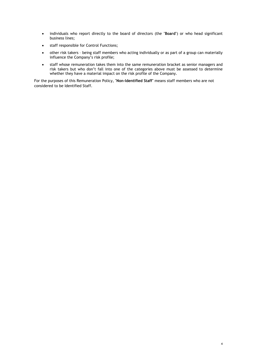- individuals who report directly to the board of directors (the "**Board**") or who head significant business lines;
- staff responsible for Control Functions;
- other risk takers being staff members who acting individually or as part of a group can materially influence the Company's risk profile;
- staff whose remuneration takes them into the same remuneration bracket as senior managers and risk takers but who don't fall into one of the categories above must be assessed to determine whether they have a material impact on the risk profile of the Company.

For the purposes of this Remuneration Policy, "**Non-Identified Staff**" means staff members who are not considered to be Identified Staff.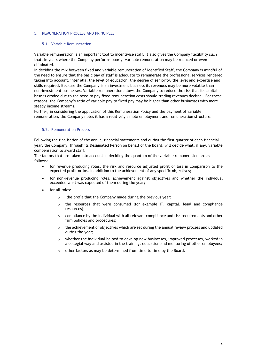#### 5. REMUNERATION PROCESS AND PRINCIPLES

### 5.1. Variable Remuneration

Variable remuneration is an important tool to incentivise staff. It also gives the Company flexibility such that, in years where the Company performs poorly, variable remuneration may be reduced or even eliminated.

In deciding the mix between fixed and variable remuneration of Identified Staff, the Company is mindful of the need to ensure that the basic pay of staff is adequate to remunerate the professional services rendered taking into account, inter alia, the level of education, the degree of seniority, the level and expertise and skills required. Because the Company is an investment business its revenues may be more volatile than non-investment businesses. Variable remuneration allows the Company to reduce the risk that its capital base is eroded due to the need to pay fixed remuneration costs should trading revenues decline. For these reasons, the Company's ratio of variable pay to fixed pay may be higher than other businesses with more steady income streams.

Further, in considering the application of this Remuneration Policy and the payment of variable remuneration, the Company notes it has a relatively simple employment and remuneration structure.

### 5.2. Remuneration Process

Following the finalisation of the annual financial statements and during the first quarter of each financial year, the Company, through its Designated Person on behalf of the Board, will decide what, if any, variable compensation to award staff.

The factors that are taken into account in deciding the quantum of the variable remuneration are as follows:

- for revenue producing roles, the risk and resource adjusted profit or loss in comparison to the expected profit or loss in addition to the achievement of any specific objectives;
- for non-revenue producing roles, achievement against objectives and whether the individual exceeded what was expected of them during the year;
- for all roles:
	- o the profit that the Company made during the previous year;
	- $\circ$  the resources that were consumed (for example IT, capital, legal and compliance resources);
	- $\circ$  compliance by the individual with all relevant compliance and risk requirements and other firm policies and procedures;
	- $\circ$  the achievement of objectives which are set during the annual review process and updated during the year;
	- o whether the individual helped to develop new businesses, improved processes, worked in a collegial way and assisted in the training, education and mentoring of other employees;
	- o other factors as may be determined from time to time by the Board.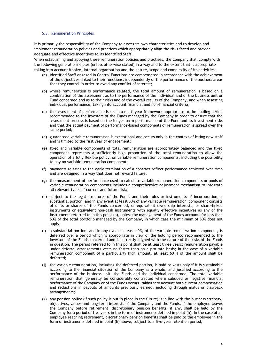#### 5.3. Remuneration Principles

It is primarily the responsibility of the Company to assess its own characteristics and to develop and implement remuneration policies and practices which appropriately align the risks faced and provide adequate and effective incentives to its Identified Staff.

When establishing and applying these remuneration policies and practises, the Company shall comply with the following general principles (unless otherwise stated) in a way and to the extent that is appropriate taking into account its size, internal organisation and the nature, scope and complexity of its activities:

- (a) Identified Staff engaged in Control Functions are compensated in accordance with the achievement of the objectives linked to their functions, independently of the performance of the business areas that they control in order to avoid any conflict of interest;
- (b) where remuneration is performance related, the total amount of remuneration is based on a combination of the assessment as to the performance of the individual and of the business unit or Fund concerned and as to their risks and of the overall results of the Company, and when assessing individual performance, taking into account financial and non-financial criteria;
- (c) the assessment of performance is set in a multi-year framework appropriate to the holding period recommended to the investors of the Funds managed by the Company in order to ensure that the assessment process is based on the longer term performance of the Fund and its investment risks and that the actual payment of performance-based components of remuneration is spread over the same period;
- (d) guaranteed variable remuneration is exceptional and occurs only in the context of hiring new staff and is limited to the first year of engagement;
- (e) fixed and variable components of total remuneration are appropriately balanced and the fixed component represents a sufficiently high proportion of the total remuneration to allow the operation of a fully flexible policy, on variable remuneration components, including the possibility to pay no variable remuneration component;
- (f) payments relating to the early termination of a contract reflect performance achieved over time and are designed in a way that does not reward failure;
- (g) the measurement of performance used to calculate variable remuneration components or pools of variable remuneration components includes a comprehensive adjustment mechanism to integrate all relevant types of current and future risk;
- (h) subject to the legal structures of the Funds and their rules or instruments of incorporation, a substantial portion, and in any event at least 50% of any variable remuneration component consists of units or shares of the Funds concerned, or equivalent ownership interests, or share-linked instruments or equivalent non-cash instruments with equally effective incentives as any of the instruments referred to in this point (h), unless the management of the Funds accounts for less than 50% of the total portfolio managed by the Company, in which case the minimum of 50% does not apply;
- (i) a substantial portion, and in any event at least 40%, of the variable remuneration component, is deferred over a period which is appropriate in view of the holding period recommended to the investors of the Funds concerned and is correctly aligned with the nature of the risks of the Funds in question. The period referred to in this point shall be at least three years; remuneration payable under deferral arrangements vests no faster than on a pro-rata basis; in the case of a variable remuneration component of a particularly high amount, at least 60 % of the amount shall be deferred;
- (j) the variable remuneration, including the deferred portion, is paid or vests only if it is sustainable according to the financial situation of the Company as a whole, and justified according to the performance of the business unit, the Funds and the individual concerned. The total variable remuneration shall generally be considerably contracted where subdued or negative financial performance of the Company or of the Funds occurs, taking into account both current compensation and reductions in payouts of amounts previously earned, including through malus or clawback arrangements;
- (k) any pension policy (if such policy is put in place in the future) is in line with the business strategy, objectives, values and long-term interests of the Company and the Funds. If the employee leaves the Company before retirement, discretionary pension benefits, if any, shall be held by the Company for a period of five years in the form of instruments defined in point (h). In the case of an employee reaching retirement, discretionary pension benefits shall be paid to the employee in the form of instruments defined in point (h) above, subject to a five-year retention period;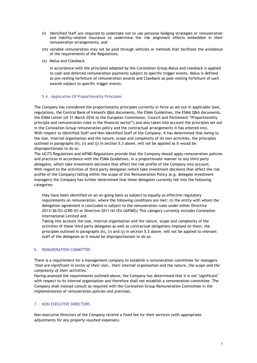- (l) Identified Staff are required to undertake not to use personal hedging strategies or remuneration and liability-related insurance to undermine the risk alignment effects embedded in their remuneration arrangements; and
- (m) variable remuneration may not be paid through vehicles or methods that facilitate the avoidance of the requirements of the Regulations.
- (n) Malus and Clawback

In accordance with the principles adopted by the Coronation Group Malus and clawback is applied to cash and deferred remuneration payments subject to specific trigger events. Malus is defined as pre-vesting forfeiture of remuneration awards and Clawback as post-vesting forfeiture of such awards subject to specific trigger events.

### 5.4. Application Of Proportionality Principles

The Company has considered the proportionality principles currently in force as set out in applicable laws, regulations, the Central Bank of Ireland's Q&A documents, the ESMA Guidelines, the ESMA Q&A documents, the ESMA Letter (of 31 March 2016 to the European Commission, Council and Parliament "Proportionality principle and remuneration rules in the financial sector") and also taken into account the principles set out in the Coronation Group remuneration policy and the contractual arrangements it has entered into. With respect to Identified Staff and Non-Identified Staff of the Company, it has determined that owing to the size, internal organisation and the nature, scope and complexity of its own activities, the principles outlined in paragraphs (h), (i) and (j) in section 5.3 above, will not be applied as it would be disproportionate to do so.

The UCITS Regulations and AIFMD Regulations provide that the Company should apply remuneration policies and practices in accordance with the ESMA Guidelines, in a proportionate manner to any third party delegates, which take investment decisions that affect the risk profile of the Company into account. With regard to the activities of third party delegates (which take investment decisions that affect the risk profile of the Company) falling within the scope of this Remuneration Policy (e.g. delegate investment managers) the Company has further determined that these delegates currently fall into the following categories:

they have been identified on an on-going basis as subject to equally as effective regulatory requirements on remuneration. where the following conditions are met: (i) the entity with whom the delegation agreement is concluded is subject to the remuneration rules under either Directive 2013/36/EU (CRD IV) or Directive 2011/61/EU (AIFMD)) This category currently includes Coronation International Limited and

Taking into account the size, internal organisation and the nature, scope and complexity of the activities of these third party delegates as well as contractual obligations imposed on them, the principles outlined in paragraphs (h), (i) and (j) in section 5.3 above, will not be applied to relevant staff of the delegates as it would be disproportionate to do so.

## 6. REMUNERATION COMMITTEE

There is a requirement for a management company to establish a remuneration committee for managers *"that are significant in terms of their size… their internal organisation and the nature, the scope and the complexity of their activities.*"

Having assessed the requirements outlined above, the Company has determined that it is not "significant" with respect to its internal organisation and therefore shall not establish a remuneration committee. The Company shall instead consult as required with the Coronation Group Remuneration Committee in the implementation of remuneration policies and practises.

## 7. NON EXECUTIVE DIRECTORS

Non-executive Directors of the Company receive a fixed fee for their services (with appropriate adjustments for any properly vouched expenses).